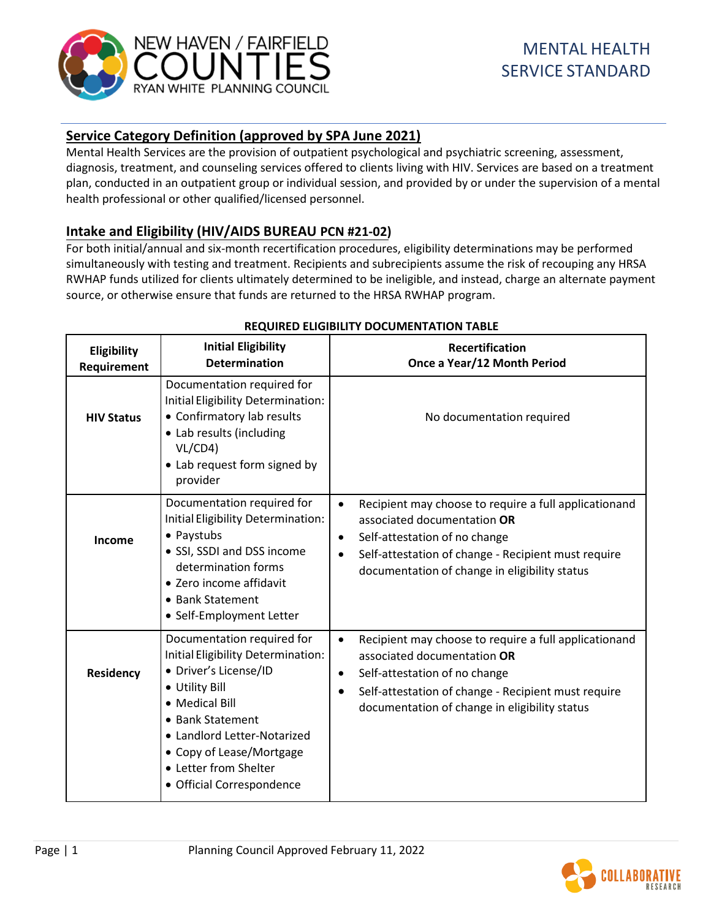

# **Service Category Definition (approved by SPA June 2021)**

Mental Health Services are the provision of outpatient psychological and psychiatric screening, assessment, diagnosis, treatment, and counseling services offered to clients living with HIV. Services are based on a treatment plan, conducted in an outpatient group or individual session, and provided by or under the supervision of a mental health professional or other qualified/licensed personnel.

# **Intake and Eligibility (HIV/AIDS BUREAU PCN #21-02)**

For both initial/annual and six-month recertification procedures, eligibility determinations may be performed simultaneously with testing and treatment. Recipients and subrecipients assume the risk of recouping any HRSA RWHAP funds utilized for clients ultimately determined to be ineligible, and instead, charge an alternate payment source, or otherwise ensure that funds are returned to the HRSA RWHAP program.

| Eligibility<br>Requirement | <b>Initial Eligibility</b><br><b>Determination</b>                                                                                                                                                                                                                 | <b>Recertification</b><br>Once a Year/12 Month Period                                                                                                                                                                                                                |
|----------------------------|--------------------------------------------------------------------------------------------------------------------------------------------------------------------------------------------------------------------------------------------------------------------|----------------------------------------------------------------------------------------------------------------------------------------------------------------------------------------------------------------------------------------------------------------------|
| <b>HIV Status</b>          | Documentation required for<br>Initial Eligibility Determination:<br>• Confirmatory lab results<br>• Lab results (including<br>VL/CD4<br>• Lab request form signed by<br>provider                                                                                   | No documentation required                                                                                                                                                                                                                                            |
| Income                     | Documentation required for<br>Initial Eligibility Determination:<br>• Paystubs<br>• SSI, SSDI and DSS income<br>determination forms<br>· Zero income affidavit<br>• Bank Statement<br>• Self-Employment Letter                                                     | Recipient may choose to require a full applicationand<br>$\bullet$<br>associated documentation OR<br>Self-attestation of no change<br>$\bullet$<br>Self-attestation of change - Recipient must require<br>$\bullet$<br>documentation of change in eligibility status |
| Residency                  | Documentation required for<br>Initial Eligibility Determination:<br>· Driver's License/ID<br>• Utility Bill<br>• Medical Bill<br>• Bank Statement<br>• Landlord Letter-Notarized<br>• Copy of Lease/Mortgage<br>• Letter from Shelter<br>• Official Correspondence | Recipient may choose to require a full applicationand<br>$\bullet$<br>associated documentation OR<br>Self-attestation of no change<br>$\bullet$<br>Self-attestation of change - Recipient must require<br>$\bullet$<br>documentation of change in eligibility status |

#### **REQUIRED ELIGIBILITY DOCUMENTATION TABLE**

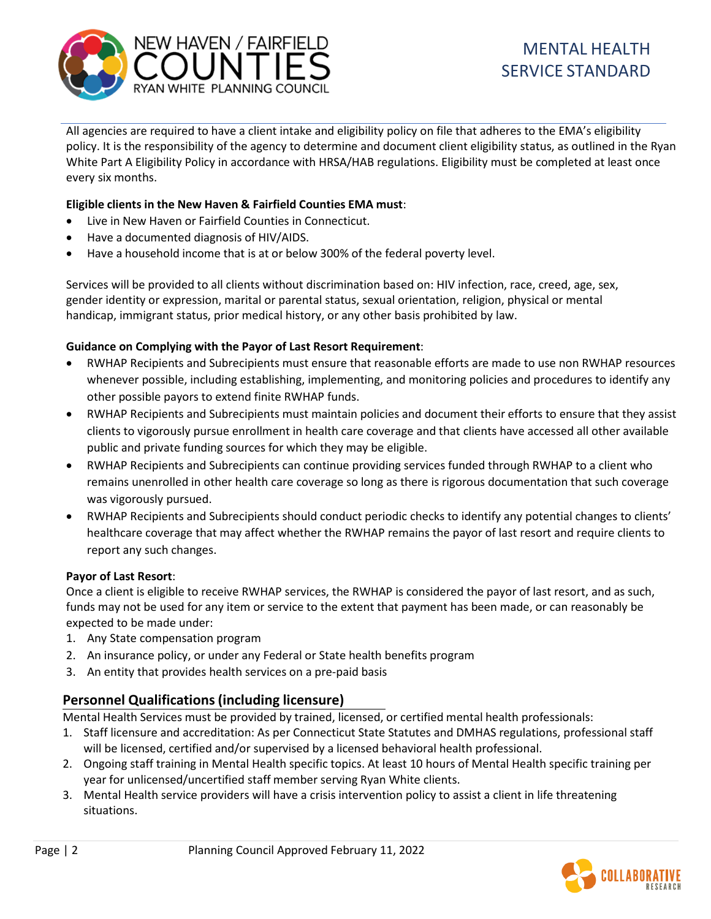

All agencies are required to have a client intake and eligibility policy on file that adheres to the EMA's eligibility policy. It is the responsibility of the agency to determine and document client eligibility status, as outlined in the Ryan White Part A Eligibility Policy in accordance with HRSA/HAB regulations. Eligibility must be completed at least once every six months.

### **Eligible clients in the New Haven & Fairfield Counties EMA must**:

- Live in New Haven or Fairfield Counties in Connecticut.
- Have a documented diagnosis of HIV/AIDS.
- Have a household income that is at or below 300% of the federal poverty level.

Services will be provided to all clients without discrimination based on: HIV infection, race, creed, age, sex, gender identity or expression, marital or parental status, sexual orientation, religion, physical or mental handicap, immigrant status, prior medical history, or any other basis prohibited by law.

#### **Guidance on Complying with the Payor of Last Resort Requirement**:

- RWHAP Recipients and Subrecipients must ensure that reasonable efforts are made to use non RWHAP resources whenever possible, including establishing, implementing, and monitoring policies and procedures to identify any other possible payors to extend finite RWHAP funds.
- RWHAP Recipients and Subrecipients must maintain policies and document their efforts to ensure that they assist clients to vigorously pursue enrollment in health care coverage and that clients have accessed all other available public and private funding sources for which they may be eligible.
- RWHAP Recipients and Subrecipients can continue providing services funded through RWHAP to a client who remains unenrolled in other health care coverage so long as there is rigorous documentation that such coverage was vigorously pursued.
- RWHAP Recipients and Subrecipients should conduct periodic checks to identify any potential changes to clients' healthcare coverage that may affect whether the RWHAP remains the payor of last resort and require clients to report any such changes.

#### **Payor of Last Resort**:

Once a client is eligible to receive RWHAP services, the RWHAP is considered the payor of last resort, and as such, funds may not be used for any item or service to the extent that payment has been made, or can reasonably be expected to be made under:

- 1. Any State compensation program
- 2. An insurance policy, or under any Federal or State health benefits program
- 3. An entity that provides health services on a pre-paid basis

## **Personnel Qualifications(including licensure)**

Mental Health Services must be provided by trained, licensed, or certified mental health professionals:

- 1. Staff licensure and accreditation: As per Connecticut State Statutes and DMHAS regulations, professional staff will be licensed, certified and/or supervised by a licensed behavioral health professional.
- 2. Ongoing staff training in Mental Health specific topics. At least 10 hours of Mental Health specific training per year for unlicensed/uncertified staff member serving Ryan White clients.
- 3. Mental Health service providers will have a crisis intervention policy to assist a client in life threatening situations.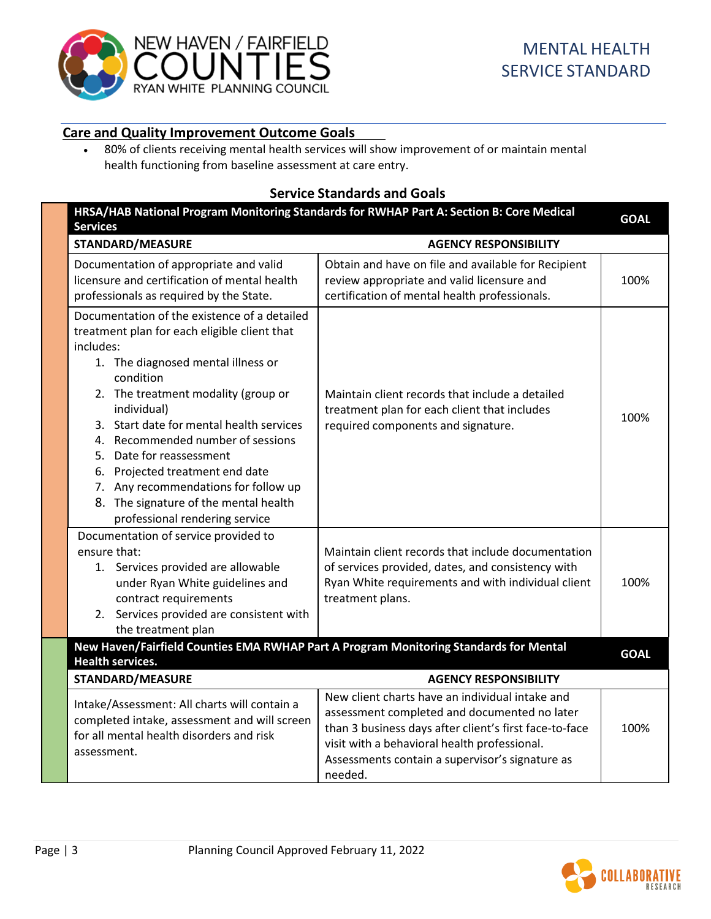

# **Care and Quality Improvement Outcome Goals**

• 80% of clients receiving mental health services will show improvement of or maintain mental health functioning from baseline assessment at care entry.

# **Service Standards and Goals**

|                         | HRSA/HAB National Program Monitoring Standards for RWHAP Part A: Section B: Core Medical<br><b>Services</b>                                                                                                                                                                                                                                                                                                                                                                           |                                                                                                                                                                                                                                                                         |             |
|-------------------------|---------------------------------------------------------------------------------------------------------------------------------------------------------------------------------------------------------------------------------------------------------------------------------------------------------------------------------------------------------------------------------------------------------------------------------------------------------------------------------------|-------------------------------------------------------------------------------------------------------------------------------------------------------------------------------------------------------------------------------------------------------------------------|-------------|
|                         | <b>STANDARD/MEASURE</b>                                                                                                                                                                                                                                                                                                                                                                                                                                                               | <b>AGENCY RESPONSIBILITY</b>                                                                                                                                                                                                                                            |             |
|                         | Documentation of appropriate and valid<br>licensure and certification of mental health<br>professionals as required by the State.                                                                                                                                                                                                                                                                                                                                                     | Obtain and have on file and available for Recipient<br>review appropriate and valid licensure and<br>certification of mental health professionals.                                                                                                                      | 100%        |
|                         | Documentation of the existence of a detailed<br>treatment plan for each eligible client that<br>includes:<br>1. The diagnosed mental illness or<br>condition<br>2. The treatment modality (group or<br>individual)<br>3. Start date for mental health services<br>4. Recommended number of sessions<br>5. Date for reassessment<br>6. Projected treatment end date<br>7. Any recommendations for follow up<br>8. The signature of the mental health<br>professional rendering service | Maintain client records that include a detailed<br>treatment plan for each client that includes<br>required components and signature.                                                                                                                                   | 100%        |
|                         | Documentation of service provided to<br>ensure that:<br>1. Services provided are allowable<br>under Ryan White guidelines and<br>contract requirements<br>2. Services provided are consistent with<br>the treatment plan                                                                                                                                                                                                                                                              | Maintain client records that include documentation<br>of services provided, dates, and consistency with<br>Ryan White requirements and with individual client<br>treatment plans.                                                                                       | 100%        |
|                         | <b>Health services.</b>                                                                                                                                                                                                                                                                                                                                                                                                                                                               | New Haven/Fairfield Counties EMA RWHAP Part A Program Monitoring Standards for Mental                                                                                                                                                                                   | <b>GOAL</b> |
| <b>STANDARD/MEASURE</b> |                                                                                                                                                                                                                                                                                                                                                                                                                                                                                       | <b>AGENCY RESPONSIBILITY</b>                                                                                                                                                                                                                                            |             |
|                         | Intake/Assessment: All charts will contain a<br>completed intake, assessment and will screen<br>for all mental health disorders and risk<br>assessment.                                                                                                                                                                                                                                                                                                                               | New client charts have an individual intake and<br>assessment completed and documented no later<br>than 3 business days after client's first face-to-face<br>visit with a behavioral health professional.<br>Assessments contain a supervisor's signature as<br>needed. | 100%        |

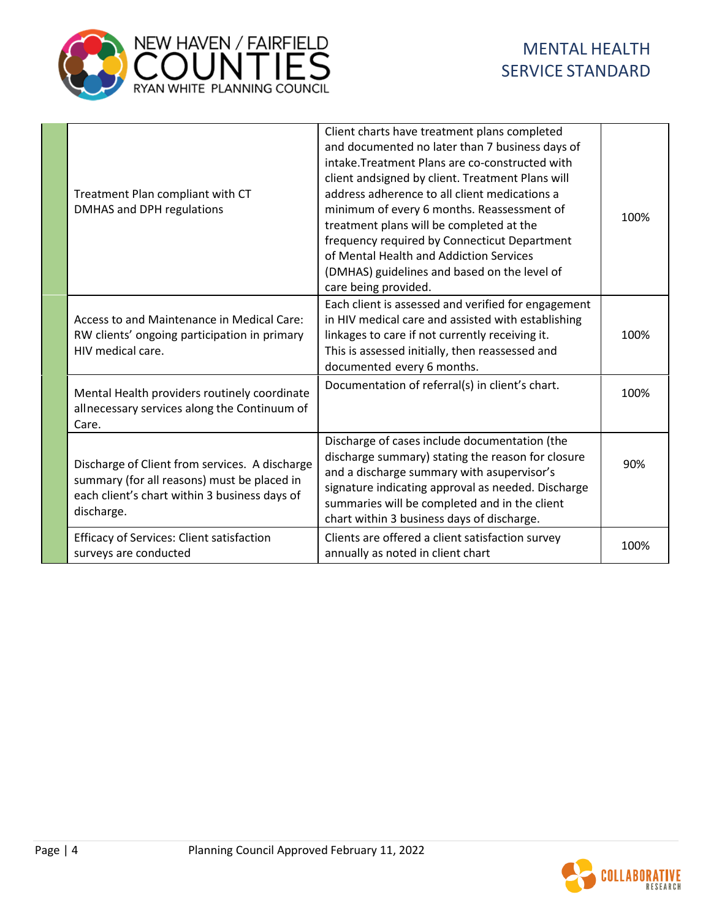

|  | Treatment Plan compliant with CT<br>DMHAS and DPH regulations                                                                                                | Client charts have treatment plans completed<br>and documented no later than 7 business days of<br>intake. Treatment Plans are co-constructed with<br>client andsigned by client. Treatment Plans will<br>address adherence to all client medications a<br>minimum of every 6 months. Reassessment of<br>treatment plans will be completed at the<br>frequency required by Connecticut Department<br>of Mental Health and Addiction Services<br>(DMHAS) guidelines and based on the level of<br>care being provided. | 100% |
|--|--------------------------------------------------------------------------------------------------------------------------------------------------------------|----------------------------------------------------------------------------------------------------------------------------------------------------------------------------------------------------------------------------------------------------------------------------------------------------------------------------------------------------------------------------------------------------------------------------------------------------------------------------------------------------------------------|------|
|  | Access to and Maintenance in Medical Care:<br>RW clients' ongoing participation in primary<br>HIV medical care.                                              | Each client is assessed and verified for engagement<br>in HIV medical care and assisted with establishing<br>linkages to care if not currently receiving it.<br>This is assessed initially, then reassessed and<br>documented every 6 months.                                                                                                                                                                                                                                                                        | 100% |
|  | Mental Health providers routinely coordinate<br>allnecessary services along the Continuum of<br>Care.                                                        | Documentation of referral(s) in client's chart.                                                                                                                                                                                                                                                                                                                                                                                                                                                                      | 100% |
|  | Discharge of Client from services. A discharge<br>summary (for all reasons) must be placed in<br>each client's chart within 3 business days of<br>discharge. | Discharge of cases include documentation (the<br>discharge summary) stating the reason for closure<br>and a discharge summary with asupervisor's<br>signature indicating approval as needed. Discharge<br>summaries will be completed and in the client<br>chart within 3 business days of discharge.                                                                                                                                                                                                                | 90%  |
|  | <b>Efficacy of Services: Client satisfaction</b><br>surveys are conducted                                                                                    | Clients are offered a client satisfaction survey<br>annually as noted in client chart                                                                                                                                                                                                                                                                                                                                                                                                                                | 100% |